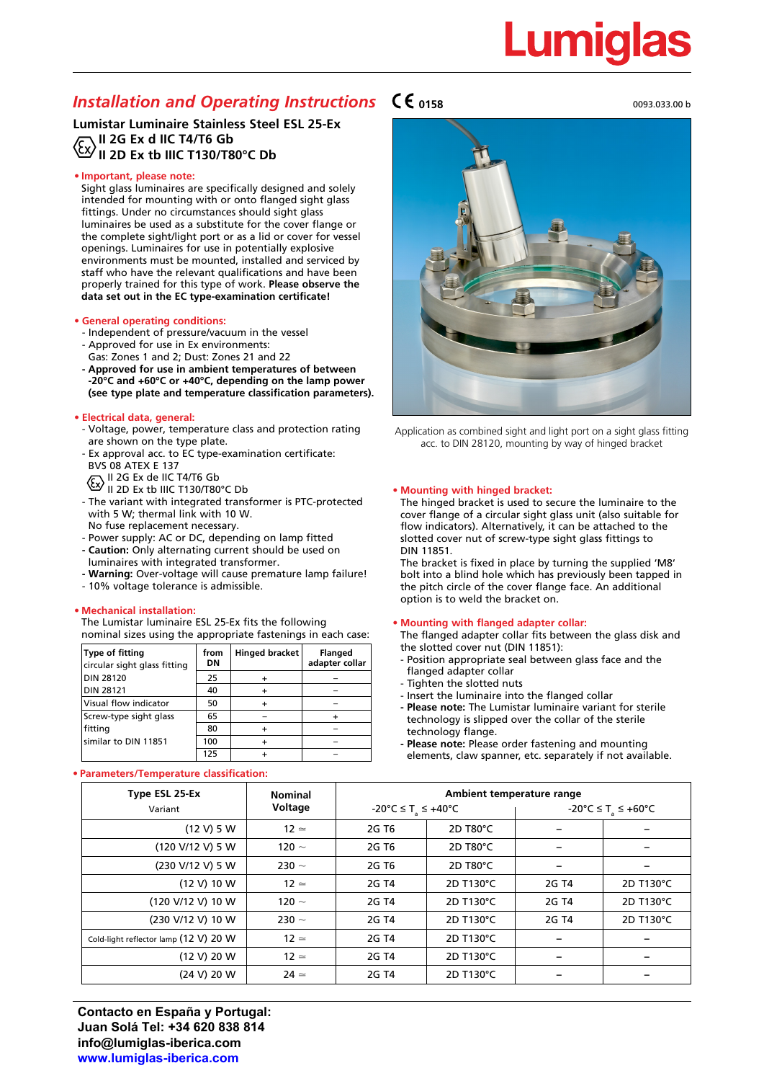# Lumia

# *Installation and Operating Instructions*  $C \epsilon_{0158}$

**Lumistar Luminaire Stainless Steel ESL 25-Ex II 2G Ex d IIC T4/T6 Gb Ex II 2D Ex tb IIIC T130/T80°C Db** 

### **• Important, please note:**

Sight glass luminaires are specifically designed and solely intended for mounting with or onto flanged sight glass fittings. Under no circumstances should sight glass luminaires be used as a substitute for the cover flange or the complete sight/light port or as a lid or cover for vessel openings. Luminaires for use in potentially explosive environments must be mounted, installed and serviced by staff who have the relevant qualifications and have been properly trained for this type of work. **Please observe the data set out in the EC type-examination certificate!**

### **• General operating conditions:**

- Independent of pressure/vacuum in the vessel
- Approved for use in Ex environments:
- Gas: Zones 1 and 2; Dust: Zones 21 and 22 **- Approved for use in ambient temperatures of between**
- **-20°C and +60°C or +40°C, depending on the lamp power (see type plate and temperature classification parameters).**

### **• Electrical data, general:**

- Voltage, power, temperature class and protection rating are shown on the type plate.
- Ex approval acc. to EC type-examination certificate: BVS 08 ATEX E 137
	- II 2G Ex de IIC T4/T6 Gb
- II 2D Ex tb IIIC T130/T80°C Db
- The variant with integrated transformer is PTC-protected with 5 W; thermal link with 10 W. No fuse replacement necessary.
- Power supply: AC or DC, depending on lamp fitted **- Caution:** Only alternating current should be used on
- luminaires with integrated transformer.
- **Warning:** Over-voltage will cause premature lamp failure!
- 10% voltage tolerance is admissible.

### **• Mechanical installation:**

The Lumistar luminaire ESL 25-Ex fits the following nominal sizes using the appropriate fastenings in each case:

| Type of fitting<br>circular sight glass fitting | from<br>DN | <b>Hinged bracket</b> | <b>Flanged</b><br>adapter collar |
|-------------------------------------------------|------------|-----------------------|----------------------------------|
| <b>DIN 28120</b>                                | 25         |                       |                                  |
| <b>DIN 28121</b>                                | 40         |                       |                                  |
| Visual flow indicator                           | 50         |                       |                                  |
| Screw-type sight glass                          | 65         |                       |                                  |
| fitting                                         | 80         |                       |                                  |
| similar to DIN 11851                            | 100        |                       |                                  |
|                                                 | 125        |                       |                                  |

### **• Parameters/Temperature classification:**

0093.033.00 b



Application as combined sight and light port on a sight glass fitting acc. to DIN 28120, mounting by way of hinged bracket

#### **• Mounting with hinged bracket:**

The hinged bracket is used to secure the luminaire to the cover flange of a circular sight glass unit (also suitable for flow indicators). Alternatively, it can be attached to the slotted cover nut of screw-type sight glass fittings to DIN 11851.

The bracket is fixed in place by turning the supplied 'M8' bolt into a blind hole which has previously been tapped in the pitch circle of the cover flange face. An additional option is to weld the bracket on.

#### **• Mounting with flanged adapter collar:**

The flanged adapter collar fits between the glass disk and the slotted cover nut (DIN 11851):

- Position appropriate seal between glass face and the flanged adapter collar
- Tighten the slotted nuts
- Insert the luminaire into the flanged collar
- **Please note:** The Lumistar luminaire variant for sterile technology is slipped over the collar of the sterile technology flange.
- **Please note:** Please order fastening and mounting elements, claw spanner, etc. separately if not available.

| Type ESL 25-Ex                        | <b>Nominal</b> | Ambient temperature range      |           |                                |           |  |
|---------------------------------------|----------------|--------------------------------|-----------|--------------------------------|-----------|--|
| Variant                               | Voltage        | -20°C ≤ T <sub>a</sub> ≤ +40°C |           | -20°C ≤ T <sub>2</sub> ≤ +60°C |           |  |
| (12 V) 5 W                            | $12 \simeq$    | 2G T <sub>6</sub>              | 2D T80°C  |                                |           |  |
| (120 V/12 V) 5 W                      | 120 $\sim$     | 2G T <sub>6</sub>              | 2D T80°C  |                                |           |  |
| (230 V/12 V) 5 W                      | 230 $\sim$     | 2G T <sub>6</sub>              | 2D T80°C  |                                |           |  |
| (12 V) 10 W                           | $12 \simeq$    | 2G T4                          | 2D T130°C | 2G T4                          | 2D T130°C |  |
| (120 V/12 V) 10 W                     | 120 $\sim$     | 2G T4                          | 2D T130°C | 2G T4                          | 2D T130°C |  |
| (230 V/12 V) 10 W                     | 230 $\sim$     | 2G T4                          | 2D T130°C | 2G T4                          | 2D T130°C |  |
| Cold-light reflector lamp (12 V) 20 W | $12 \simeq$    | 2G T4                          | 2D T130°C |                                |           |  |
| (12 V) 20 W                           | $12 \simeq$    | 2G T4                          | 2D T130°C |                                |           |  |
| (24 V) 20 W                           | $24 \simeq$    | 2G T4                          | 2D T130°C |                                |           |  |